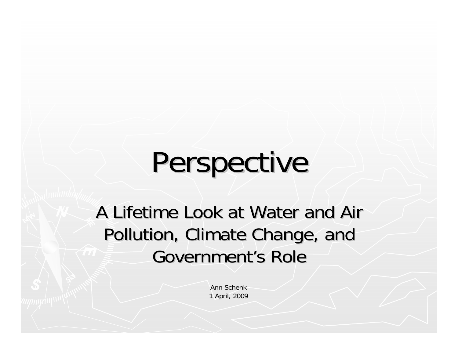# Perspective

A Lifetime Look at Water and Air Pollution, Climate Change, and Government's Role

> Ann Schenk1 April, 2009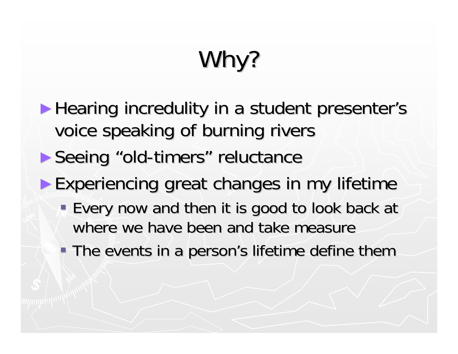# Why?

- ► Hearing incredulity in a student presenter's voice speaking of burning rivers
- ► Seeing "old-timers" reluctance
- ► Experiencing great changes in my lifetime
	- Every now and then it is good to look back at where we have been and take measure
	- The events in a person's lifetime define them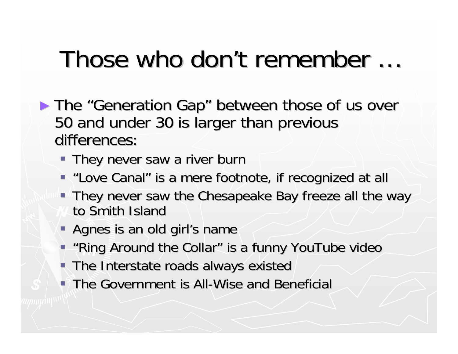#### Those who don't remember … Those who don't remember …

- ► The "Generation Gap" between those of us over 50 and under 30 is larger than previous 50 and under 30 is larger than previous differences:
	- **They never saw a river burn**
	- " "Love Canal" is a mere footnote, if recognized at all
	- **They never saw the Chesapeake Bay freeze all the way** to Smith Island
	- Agnes is an old girl's name
	- **"Ring Around the Collar" is a funny YouTube video** "
	- **The Interstate roads always existed**
	- $\blacksquare$  The Government is All-Wise and Beneficial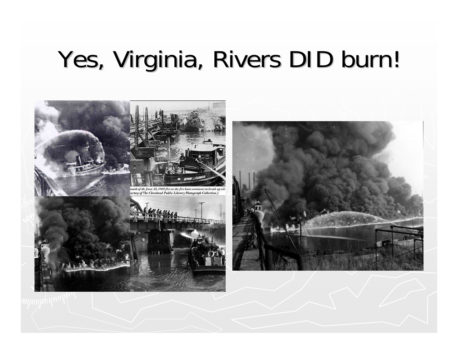## Yes, Virginia, Rivers DID burn!

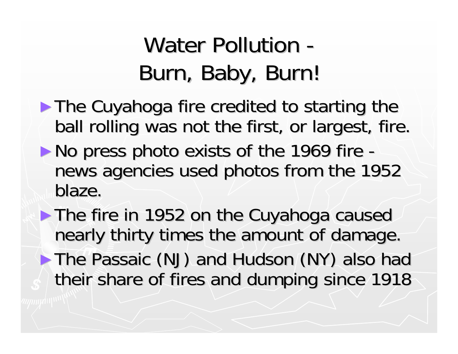#### Water Pollution -Burn, Baby, Burn!

- ► The Cuyahoga fire credited to starting the ball rolling was not the first, or largest, fire.
- $\blacktriangleright$  No press photo exists of the 1969 fire news agencies used photos from the 1952 blaze.

► The fire in 1952 on the Cuyahoga caused nearly thirty times the amount of damage. ►The Passaic (NJ) and Hudson (NY) also had The Passaic (NJ) and Hudson (NY) also had their share of fires and dumping since 1918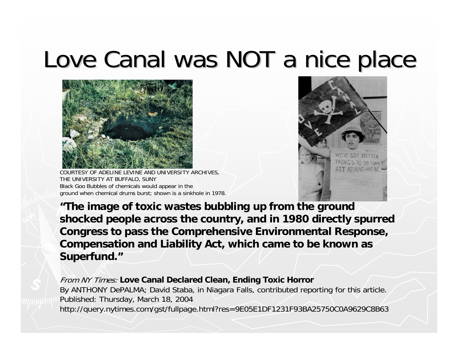#### Love Canal was NOT a nice place



COURTESY OF ADELINE LEVINE AND UNIVERSITY ARCHIVES, THE UNIVERSITY AT BUFFALO, SUNY Black Goo Bubbles of chemicals would appear in the ground when chemical drums burst; shown is a sinkhole in 1978.



**"The image of toxic wastes bubbling up from the ground shocked people across the country, and in 1980 directly spurred Congress to pass the Comprehensive Environmental Response, Compensation and Liability Act, which came to be known as Superfund."**

From NY Times: **Love Canal Declared Clean, Ending Toxic Horror** By ANTHONY DePALMA; David Staba, in Niagara Falls, contributed reporting for this article. Published: Thursday, March 18, 2004 http://query.nytimes.com/gst/fullpage.html?res=9E05E1DF1231F93BA25750C0A9629C8B63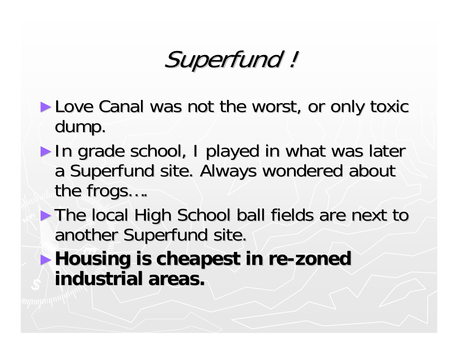#### Superfund ! Superfund !

- ► Love Canal was not the worst, or only toxic dump.
- ► In grade school, I played in what was later a Superfund site. Always wondered about the frogs....
- ► The local High School ball fields are next to another Superfund site.
- ▶ Housing is cheapest in re-zoned **industrial areas. industrial areas.**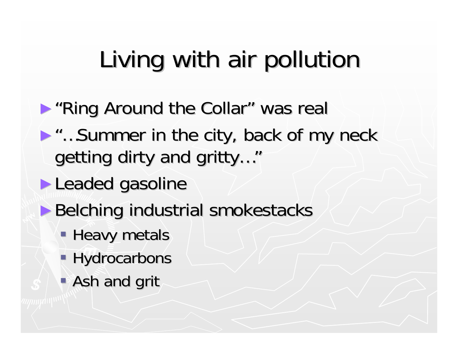# Living with air pollution

- ▶ "Ring Around the Collar" was real
- ►"…Summer in the city, back of my neck "…Summer in the city, back of my neck getting dirty and gritty..."
- ► Leaded gasoline
- ▶ Belching industrial smokestacks
	- **Heavy metals**
	- **Hydrocarbons**
	- **Ash and grit**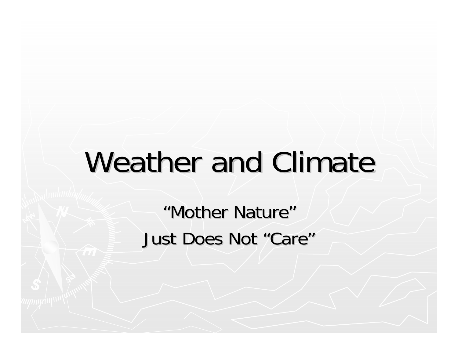# Weather and Climate

"Mother Nature" Just Does Not "Care"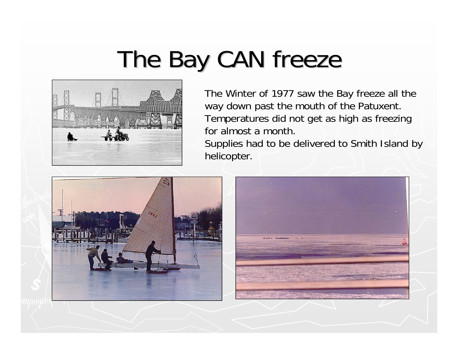### The Bay CAN freeze



The Winter of 1977 saw the Bay freeze all the way down past the mouth of the Patuxent. Temperatures did not get as high as freezing for almost a month.

Supplies had to be delivered to Smith Island by helicopter.



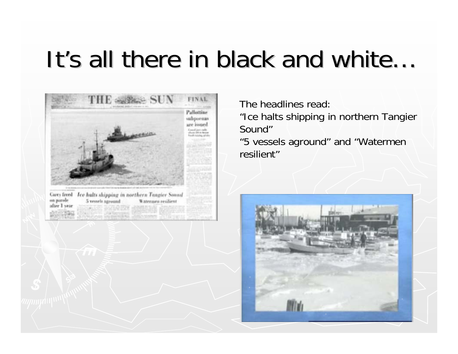#### It's all there in black and white…



The headlines read:

"Ice halts shipping in northern Tangier Sound"

"5 vessels aground" and "Watermen resilient"

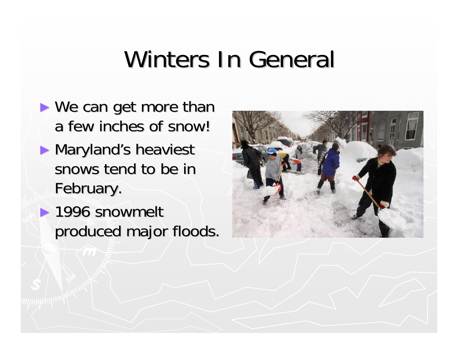## Winters In General

- $\blacktriangleright$  We can get more than a few inches of snow!
- ► Maryland's heaviest snows tend to be in February.
- $\blacktriangleright$  1996 snowmelt produced major floods.

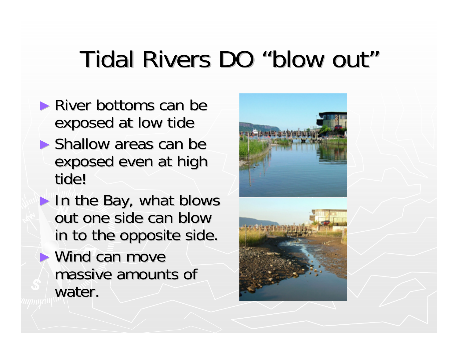### Tidal Rivers DO "blow out"

- $\blacktriangleright$  River bottoms can be exposed at low tide
- $\blacktriangleright$  Shallow areas can be exposed even at high tide!
- $\blacktriangleright$  In the Bay, what blows out one side can blow in to the opposite side.
- $\blacktriangleright$  Wind can move massive amounts of water.

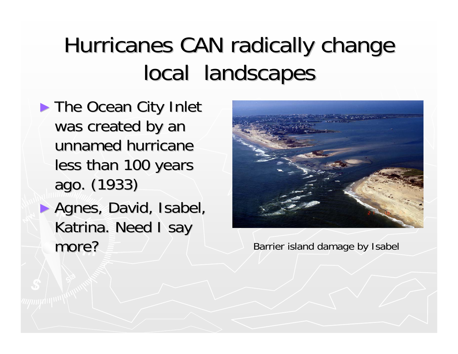#### Hurricanes CAN radically change local landscapes

- ► The Ocean City Inlet was created by an unnamed hurricane less than 100 years ago. (1933) ago. (1933)
- ► Agnes, David, Isabel, Katrina. Need I say more?



Barrier island damage by Isabel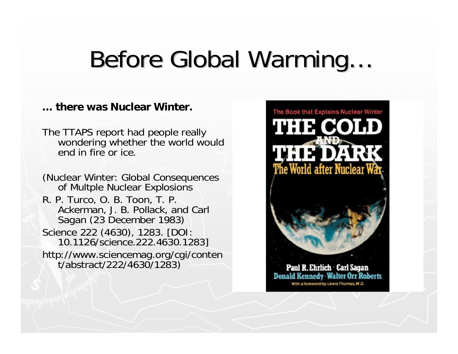### Before Global Warming...

#### **… there was Nuclear Winter.**

The TTAPS report had people really wondering whether the world would end in fire or ice.

(Nuclear Winter: Global Consequences of Multple Nuclear Explosions R. P. Turco, O. B. Toon, T. P. Ackerman, J. B. Pollack, and Carl Sagan (23 December 1983) Science 222 (4630), 1283. [DOI: 10.1126/science.222.4630.1283] http://www.sciencemag.org/cgi/conten<br>t/abstract/222/4630/1283)

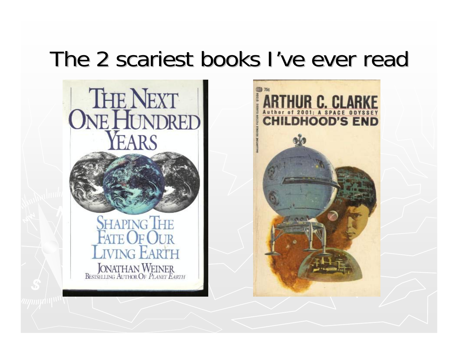#### The 2 scariest books I've ever read The 2 scariest books I've ever read



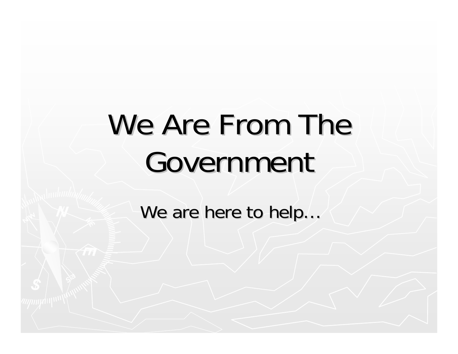# We Are From The Government

We are here to help...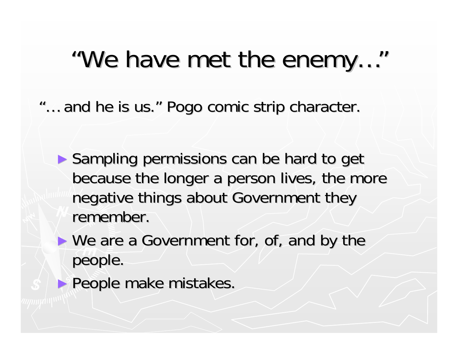#### "We have met the enemy..."

"... and he is us." Pogo comic strip character.

- ► Sampling permissions can be hard to get because the longer a person lives, the more negative things about Government they remember.
- $\blacktriangleright$  We are a Government for, of, and by the people.
- ► People make mistakes.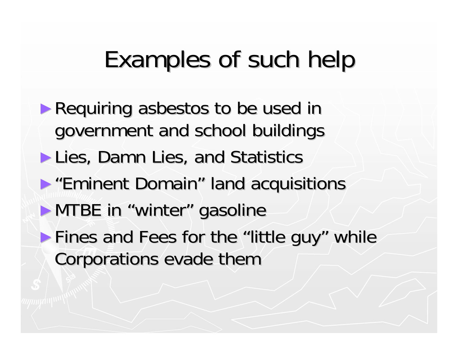#### Examples of such help

- ► Requiring asbestos to be used in government and school buildings
- ► Lies, Damn Lies, and Statistics
- ►"Eminent Domain" land acquisitions "Eminent Domain" land acquisitions
- ▶ MTBE in "winter" gasoline
- $\blacktriangleright$  Fines and Fees for the "little guy" while Corporations evade them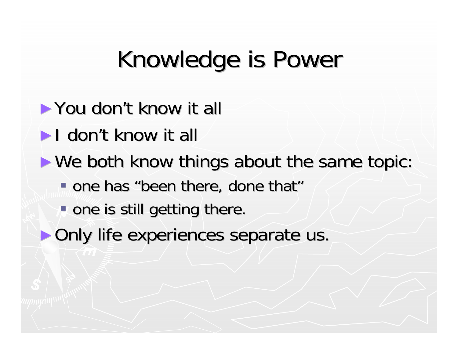### Knowledge is Power

- ► You don't know it all
- $\blacktriangleright$  I don't know it all
- $\blacktriangleright$  We both know things about the same topic:
	- one has "been there, done that"
	- $\blacksquare$  one is still getting there.
- ► Only life experiences separate us.